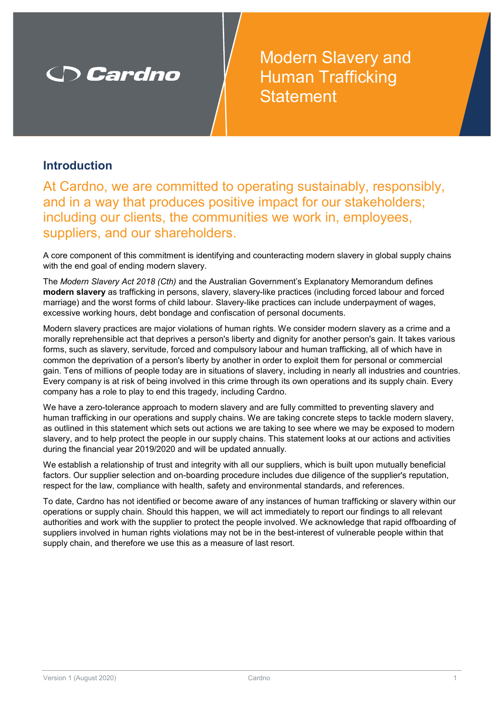# **Cardno**

Modern Slavery and **Human Trafficking Statement** 

#### **Introduction**

At Cardno, we are committed to operating sustainably, responsibly, and in a way that produces positive impact for our stakeholders; including our clients, the communities we work in, employees, suppliers, and our shareholders.

A core component of this commitment is identifying and counteracting modern slavery in global supply chains with the end goal of ending modern slavery.

The *Modern Slavery Act 2018 (Cth)* and the Australian Government's Explanatory Memorandum defines **modern slavery** as trafficking in persons, slavery, slavery-like practices (including forced labour and forced marriage) and the worst forms of child labour. Slavery-like practices can include underpayment of wages, excessive working hours, debt bondage and confiscation of personal documents.

Modern slavery practices are major violations of human rights. We consider modern slavery as a crime and a morally reprehensible act that deprives a person's liberty and dignity for another person's gain. It takes various forms, such as slavery, servitude, forced and compulsory labour and human trafficking, all of which have in common the deprivation of a person's liberty by another in order to exploit them for personal or commercial gain. Tens of millions of people today are in situations of slavery, including in nearly all industries and countries. Every company is at risk of being involved in this crime through its own operations and its supply chain. Every company has a role to play to end this tragedy, including Cardno.

We have a zero-tolerance approach to modern slavery and are fully committed to preventing slavery and human trafficking in our operations and supply chains. We are taking concrete steps to tackle modern slavery, as outlined in this statement which sets out actions we are taking to see where we may be exposed to modern slavery, and to help protect the people in our supply chains. This statement looks at our actions and activities during the financial year 2019/2020 and will be updated annually.

We establish a relationship of trust and integrity with all our suppliers, which is built upon mutually beneficial factors. Our supplier selection and on-boarding procedure includes due diligence of the supplier's reputation, respect for the law, compliance with health, safety and environmental standards, and references.

To date, Cardno has not identified or become aware of any instances of human trafficking or slavery within our operations or supply chain. Should this happen, we will act immediately to report our findings to all relevant authorities and work with the supplier to protect the people involved. We acknowledge that rapid offboarding of suppliers involved in human rights violations may not be in the best-interest of vulnerable people within that supply chain, and therefore we use this as a measure of last resort.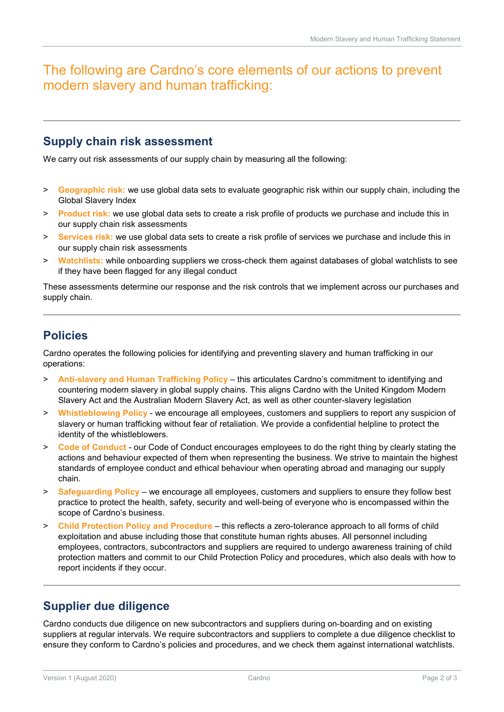## The following are Cardno's core elements of our actions to prevent modern slavery and human trafficking:

#### **Supply chain risk assessment**

We carry out risk assessments of our supply chain by measuring all the following:

- > **Geographic risk:** we use global data sets to evaluate geographic risk within our supply chain, including the Global Slavery Index
- > **Product risk:** we use global data sets to create a risk profile of products we purchase and include this in our supply chain risk assessments
- > **Services risk:** we use global data sets to create a risk profile of services we purchase and include this in our supply chain risk assessments
- > **Watchlists:** while onboarding suppliers we cross-check them against databases of global watchlists to see if they have been flagged for any illegal conduct

These assessments determine our response and the risk controls that we implement across our purchases and supply chain.

### **Policies**

Cardno operates the following policies for identifying and preventing slavery and human trafficking in our operations:

- > **Anti-slavery and Human Trafficking Policy** this articulates Cardno's commitment to identifying and countering modern slavery in global supply chains. This aligns Cardno with the United Kingdom Modern Slavery Act and the Australian Modern Slavery Act, as well as other counter-slavery legislation
- > **Whistleblowing Policy** we encourage all employees, customers and suppliers to report any suspicion of slavery or human trafficking without fear of retaliation. We provide a confidential helpline to protect the identity of the whistleblowers.
- > **Code of Conduct** our Code of Conduct encourages employees to do the right thing by clearly stating the actions and behaviour expected of them when representing the business. We strive to maintain the highest standards of employee conduct and ethical behaviour when operating abroad and managing our supply chain.
- > **Safeguarding Policy** we encourage all employees, customers and suppliers to ensure they follow best practice to protect the health, safety, security and well-being of everyone who is encompassed within the scope of Cardno's business.
- > **Child Protection Policy and Procedure** this reflects a zero-tolerance approach to all forms of child exploitation and abuse including those that constitute human rights abuses. All personnel including employees, contractors, subcontractors and suppliers are required to undergo awareness training of child protection matters and commit to our Child Protection Policy and procedures, which also deals with how to report incidents if they occur.

#### **Supplier due diligence**

Cardno conducts due diligence on new subcontractors and suppliers during on-boarding and on existing suppliers at regular intervals. We require subcontractors and suppliers to complete a due diligence checklist to ensure they conform to Cardno's policies and procedures, and we check them against international watchlists.